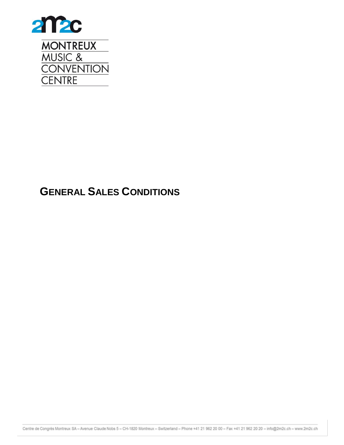

# <span id="page-0-0"></span>**GENERAL SALES CONDITIONS**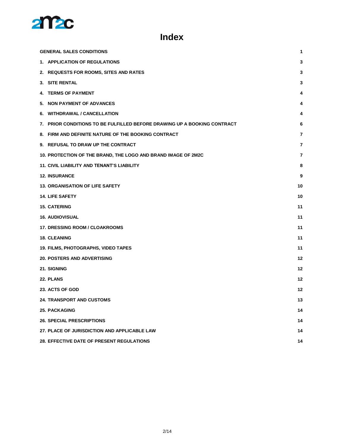

# **Index**

| <b>GENERAL SALES CONDITIONS</b>                                          | 1  |
|--------------------------------------------------------------------------|----|
| 1. APPLICATION OF REGULATIONS                                            | 3  |
| 2. REQUESTS FOR ROOMS, SITES AND RATES                                   | 3  |
| 3. SITE RENTAL                                                           | 3  |
| 4. TERMS OF PAYMENT                                                      | 4  |
| 5. NON PAYMENT OF ADVANCES                                               | 4  |
| 6. WITHDRAWAL / CANCELLATION                                             | 4  |
| 7. PRIOR CONDITIONS TO BE FULFILLED BEFORE DRAWING UP A BOOKING CONTRACT | 6  |
| 8. FIRM AND DEFINITE NATURE OF THE BOOKING CONTRACT                      | 7  |
| 9. REFUSAL TO DRAW UP THE CONTRACT                                       | 7  |
| 10. PROTECTION OF THE BRAND, THE LOGO AND BRAND IMAGE OF 2M2C            | 7  |
| <b>11. CIVIL LIABILITY AND TENANT'S LIABILITY</b>                        | 8  |
| <b>12. INSURANCE</b>                                                     | 9  |
| <b>13. ORGANISATION OF LIFE SAFETY</b>                                   | 10 |
| <b>14. LIFE SAFETY</b>                                                   | 10 |
| <b>15. CATERING</b>                                                      | 11 |
| <b>16. AUDIOVISUAL</b>                                                   | 11 |
| <b>17. DRESSING ROOM / CLOAKROOMS</b>                                    | 11 |
| <b>18. CLEANING</b>                                                      | 11 |
| 19. FILMS, PHOTOGRAPHS, VIDEO TAPES                                      | 11 |
| <b>20. POSTERS AND ADVERTISING</b>                                       | 12 |
| 21. SIGNING                                                              | 12 |
| 22. PLANS                                                                | 12 |
| 23. ACTS OF GOD                                                          | 12 |
| 24. TRANSPORT AND CUSTOMS                                                | 13 |
| <b>25. PACKAGING</b>                                                     | 14 |
| <b>26. SPECIAL PRESCRIPTIONS</b>                                         | 14 |
| 27. PLACE OF JURISDICTION AND APPLICABLE LAW                             | 14 |
| <b>28. EFFECTIVE DATE OF PRESENT REGULATIONS</b>                         | 14 |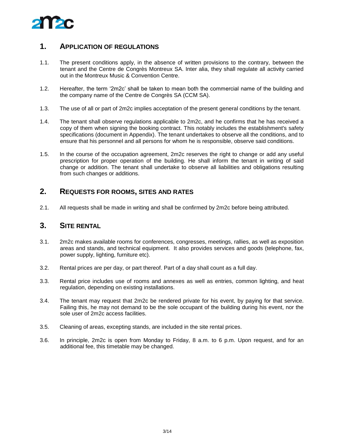

#### <span id="page-2-0"></span>**1. APPLICATION OF REGULATIONS**

- 1.1. The present conditions apply, in the absence of written provisions to the contrary, between the tenant and the Centre de Congrès Montreux SA. Inter alia, they shall regulate all activity carried out in the Montreux Music & Convention Centre.
- 1.2. Hereafter, the term '2m2c' shall be taken to mean both the commercial name of the building and the company name of the Centre de Congrès SA (CCM SA).
- 1.3. The use of all or part of 2m2c implies acceptation of the present general conditions by the tenant.
- 1.4. The tenant shall observe regulations applicable to 2m2c, and he confirms that he has received a copy of them when signing the booking contract. This notably includes the establishment's safety specifications (document in Appendix). The tenant undertakes to observe all the conditions, and to ensure that his personnel and all persons for whom he is responsible, observe said conditions.
- 1.5. In the course of the occupation agreement, 2m2c reserves the right to change or add any useful prescription for proper operation of the building. He shall inform the tenant in writing of said change or addition. The tenant shall undertake to observe all liabilities and obligations resulting from such changes or additions.

#### <span id="page-2-1"></span>**2. REQUESTS FOR ROOMS, SITES AND RATES**

<span id="page-2-2"></span>2.1. All requests shall be made in writing and shall be confirmed by 2m2c before being attributed.

#### **3. SITE RENTAL**

- 3.1. 2m2c makes available rooms for conferences, congresses, meetings, rallies, as well as exposition areas and stands, and technical equipment. It also provides services and goods (telephone, fax, power supply, lighting, furniture etc).
- 3.2. Rental prices are per day, or part thereof. Part of a day shall count as a full day.
- 3.3. Rental price includes use of rooms and annexes as well as entries, common lighting, and heat regulation, depending on existing installations.
- 3.4. The tenant may request that 2m2c be rendered private for his event, by paying for that service. Failing this, he may not demand to be the sole occupant of the building during his event, nor the sole user of 2m2c access facilities.
- 3.5. Cleaning of areas, excepting stands, are included in the site rental prices.
- 3.6. In principle, 2m2c is open from Monday to Friday, 8 a.m. to 6 p.m. Upon request, and for an additional fee, this timetable may be changed.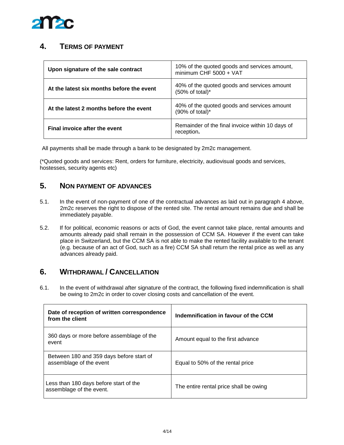

# <span id="page-3-0"></span>**4. TERMS OF PAYMENT**

| Upon signature of the sale contract       | 10% of the quoted goods and services amount,<br>minimum CHF 5000 + VAT     |
|-------------------------------------------|----------------------------------------------------------------------------|
| At the latest six months before the event | 40% of the quoted goods and services amount<br>$(50\% \text{ of total})^*$ |
| At the latest 2 months before the event   | 40% of the quoted goods and services amount<br>(90% of total)*             |
| Final invoice after the event             | Remainder of the final invoice within 10 days of<br>reception.             |

All payments shall be made through a bank to be designated by 2m2c management.

(\*Quoted goods and services: Rent, orders for furniture, electricity, audiovisual goods and services, hostesses, security agents etc)

# <span id="page-3-1"></span>**5. NON PAYMENT OF ADVANCES**

- 5.1. In the event of non-payment of one of the contractual advances as laid out in paragraph 4 above, 2m2c reserves the right to dispose of the rented site. The rental amount remains due and shall be immediately payable.
- 5.2. If for political, economic reasons or acts of God, the event cannot take place, rental amounts and amounts already paid shall remain in the possession of CCM SA. However if the event can take place in Switzerland, but the CCM SA is not able to make the rented facility available to the tenant (e.g. because of an act of God, such as a fire) CCM SA shall return the rental price as well as any advances already paid.

# <span id="page-3-2"></span>**6. WITHDRAWAL / CANCELLATION**

6.1. In the event of withdrawal after signature of the contract, the following fixed indemnification is shall be owing to 2m2c in order to cover closing costs and cancellation of the event.

| Date of reception of written correspondence<br>from the client      | Indemnification in favour of the CCM   |
|---------------------------------------------------------------------|----------------------------------------|
| 360 days or more before assemblage of the<br>event                  | Amount equal to the first advance      |
| Between 180 and 359 days before start of<br>assemblage of the event | Equal to 50% of the rental price       |
| Less than 180 days before start of the<br>assemblage of the event.  | The entire rental price shall be owing |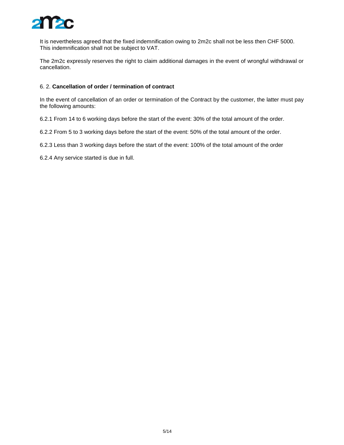

It is nevertheless agreed that the fixed indemnification owing to 2m2c shall not be less then CHF 5000. This indemnification shall not be subject to VAT.

The 2m2c expressly reserves the right to claim additional damages in the event of wrongful withdrawal or cancellation.

#### 6. 2. **Cancellation of order / termination of contract**

In the event of cancellation of an order or termination of the Contract by the customer, the latter must pay the following amounts:

6.2.1 From 14 to 6 working days before the start of the event: 30% of the total amount of the order.

6.2.2 From 5 to 3 working days before the start of the event: 50% of the total amount of the order.

6.2.3 Less than 3 working days before the start of the event: 100% of the total amount of the order

6.2.4 Any service started is due in full.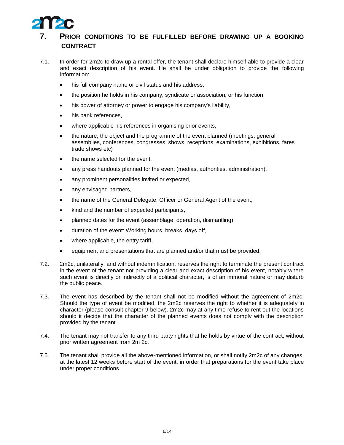

#### <span id="page-5-0"></span>**7. PRIOR CONDITIONS TO BE FULFILLED BEFORE DRAWING UP A BOOKING CONTRACT**

- 7.1. In order for 2m2c to draw up a rental offer, the tenant shall declare himself able to provide a clear and exact description of his event. He shall be under obligation to provide the following information:
	- his full company name or civil status and his address,
	- the position he holds in his company, syndicate or association, or his function,
	- his power of attorney or power to engage his company's liability,
	- his bank references,
	- where applicable his references in organising prior events,
	- the nature, the object and the programme of the event planned (meetings, general assemblies, conferences, congresses, shows, receptions, examinations, exhibitions, fares trade shows etc)
	- the name selected for the event,
	- any press handouts planned for the event (medias, authorities, administration),
	- any prominent personalities invited or expected,
	- any envisaged partners,
	- the name of the General Delegate, Officer or General Agent of the event,
	- kind and the number of expected participants,
	- planned dates for the event (assemblage, operation, dismantling),
	- duration of the event: Working hours, breaks, days off,
	- where applicable, the entry tariff,
	- equipment and presentations that are planned and/or that must be provided.
- 7.2. 2m2c, unilaterally, and without indemnification, reserves the right to terminate the present contract in the event of the tenant not providing a clear and exact description of his event, notably where such event is directly or indirectly of a political character, is of an immoral nature or may disturb the public peace.
- 7.3. The event has described by the tenant shall not be modified without the agreement of 2m2c. Should the type of event be modified, the 2m2c reserves the right to whether it is adequately in character (please consult chapter 9 below). 2m2c may at any time refuse to rent out the locations should it decide that the character of the planned events does not comply with the description provided by the tenant.
- 7.4. The tenant may not transfer to any third party rights that he holds by virtue of the contract, without prior written agreement from 2m 2c.
- 7.5. The tenant shall provide all the above-mentioned information, or shall notify 2m2c of any changes, at the latest 12 weeks before start of the event, in order that preparations for the event take place under proper conditions.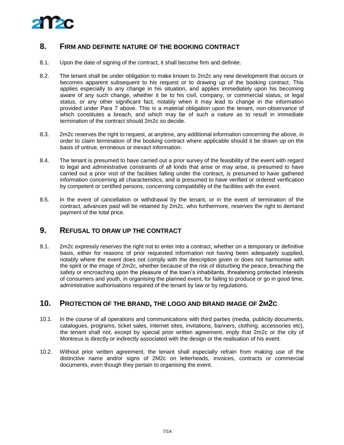

#### <span id="page-6-0"></span>**8. FIRM AND DEFINITE NATURE OF THE BOOKING CONTRACT**

- 8.1. Upon the date of signing of the contract, it shall become firm and definite.
- 8.2. The tenant shall be under obligation to make known to 2m2c any new development that occurs or becomes apparent subsequent to his request or to drawing up of the booking contract. This applies especially to any change in his situation, and applies immediately upon his becoming aware of any such change, whether it be to his civil, company, or commercial status, or legal status, or any other significant fact, notably when it may lead to change in the information provided under Para 7 above. This is a material obligation upon the tenant, non-observance of which constitutes a breach, and which may be of such a nature as to result in immediate termination of the contract should 2m2c so decide.
- 8.3. 2m2c reserves the right to request, at anytime, any additional information concerning the above, in order to claim termination of the booking contract where applicable should it be drawn up on the basis of untrue, erroneous or inexact information.
- 8.4. The tenant is presumed to have carried out a prior survey of the feasibility of the event with regard to legal and administrative constraints of all kinds that arise or may arise, is presumed to have carried out a prior visit of the facilities falling under the contract, is presumed to have gathered information concerning all characteristics, and is presumed to have verified or ordered verification by competent or certified persons, concerning compatibility of the facilities with the event.
- 8.5. In the event of cancellation or withdrawal by the tenant, or in the event of termination of the contract, advances paid will be retained by 2m2c, who furthermore, reserves the right to demand payment of the total price.

#### <span id="page-6-1"></span>**9. REFUSAL TO DRAW UP THE CONTRACT**

9.1. 2m2c expressly reserves the right not to enter into a contract, whether on a temporary or definitive basis, either for reasons of prior requested information not having been adequately supplied, notably where the event does not comply with the description given or does not harmonise with the spirit or the image of 2m2c, whether because of the risk of disturbing the peace, breaching the safety or encroaching upon the pleasure of the town's inhabitants, threatening protected interests of consumers and youth, in organising the planned event, for failing to produce or go in good time, administrative authorisations required of the tenant by law or by regulations.

#### <span id="page-6-2"></span>**10. PROTECTION OF THE BRAND, THE LOGO AND BRAND IMAGE OF 2M2C**

- 10.1. In the course of all operations and communications with third parties (media, publicity documents, catalogues, programs, ticket sales, Internet sites, invitations, banners, clothing, accessories etc), the tenant shall not, except by special prior written agreement, imply that 2m2c or the city of Montreux is directly or indirectly associated with the design or the realisation of his event.
- 10.2. Without prior written agreement, the tenant shall especially refrain from making use of the distinctive name and/or signs of 2M2c on letterheads, invoices, contracts or commercial documents, even though they pertain to organising the event.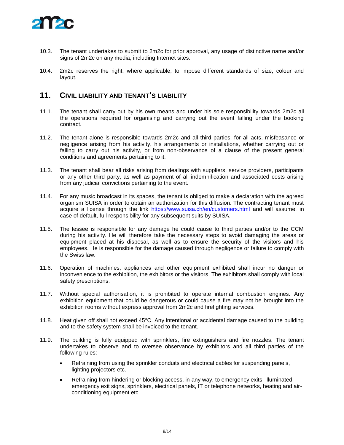

- 10.3. The tenant undertakes to submit to 2m2c for prior approval, any usage of distinctive name and/or signs of 2m2c on any media, including Internet sites.
- 10.4. 2m2c reserves the right, where applicable, to impose different standards of size, colour and layout.

#### <span id="page-7-0"></span>**11. CIVIL LIABILITY AND TENANT'S LIABILITY**

- 11.1. The tenant shall carry out by his own means and under his sole responsibility towards 2m2c all the operations required for organising and carrying out the event falling under the booking contract.
- 11.2. The tenant alone is responsible towards 2m2c and all third parties, for all acts, misfeasance or negligence arising from his activity, his arrangements or installations, whether carrying out or failing to carry out his activity, or from non-observance of a clause of the present general conditions and agreements pertaining to it.
- 11.3. The tenant shall bear all risks arising from dealings with suppliers, service providers, participants or any other third party, as well as payment of all indemnification and associated costs arising from any judicial convictions pertaining to the event.
- 11.4. For any music broadcast in its spaces, the tenant is obliged to make a declaration with the agreed organism SUISA in order to obtain an authorization for this diffusion. The contracting tenant must acquire a license through the link <https://www.suisa.ch/en/customers.html> and will assume, in case of default, full responsibility for any subsequent suits by SUISA.
- 11.5. The lessee is responsible for any damage he could cause to third parties and/or to the CCM during his activity. He will therefore take the necessary steps to avoid damaging the areas or equipment placed at his disposal, as well as to ensure the security of the visitors and his employees. He is responsible for the damage caused through negligence or failure to comply with the Swiss law.
- 11.6. Operation of machines, appliances and other equipment exhibited shall incur no danger or inconvenience to the exhibition, the exhibitors or the visitors. The exhibitors shall comply with local safety prescriptions.
- 11.7. Without special authorisation, it is prohibited to operate internal combustion engines. Any exhibition equipment that could be dangerous or could cause a fire may not be brought into the exhibition rooms without express approval from 2m2c and firefighting services.
- 11.8. Heat given off shall not exceed 45°C. Any intentional or accidental damage caused to the building and to the safety system shall be invoiced to the tenant.
- 11.9. The building is fully equipped with sprinklers, fire extinguishers and fire nozzles. The tenant undertakes to observe and to oversee observance by exhibitors and all third parties of the following rules:
	- Refraining from using the sprinkler conduits and electrical cables for suspending panels, lighting projectors etc.
	- Refraining from hindering or blocking access, in any way, to emergency exits, illuminated emergency exit signs, sprinklers, electrical panels, IT or telephone networks, heating and airconditioning equipment etc.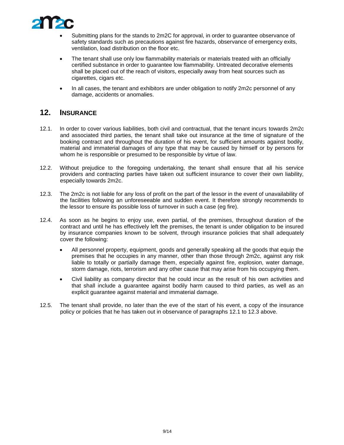

- Submitting plans for the stands to 2m2C for approval, in order to guarantee observance of safety standards such as precautions against fire hazards, observance of emergency exits, ventilation, load distribution on the floor etc.
- The tenant shall use only low flammability materials or materials treated with an officially certified substance in order to guarantee low flammability. Untreated decorative elements shall be placed out of the reach of visitors, especially away from heat sources such as cigarettes, cigars etc.
- In all cases, the tenant and exhibitors are under obligation to notify 2m2c personnel of any damage, accidents or anomalies.

#### <span id="page-8-0"></span>**12. INSURANCE**

- 12.1. In order to cover various liabilities, both civil and contractual, that the tenant incurs towards 2m2c and associated third parties, the tenant shall take out insurance at the time of signature of the booking contract and throughout the duration of his event, for sufficient amounts against bodily, material and immaterial damages of any type that may be caused by himself or by persons for whom he is responsible or presumed to be responsible by virtue of law.
- 12.2. Without prejudice to the foregoing undertaking, the tenant shall ensure that all his service providers and contracting parties have taken out sufficient insurance to cover their own liability, especially towards 2m2c.
- 12.3. The 2m2c is not liable for any loss of profit on the part of the lessor in the event of unavailability of the facilities following an unforeseeable and sudden event. It therefore strongly recommends to the lessor to ensure its possible loss of turnover in such a case (eg fire).
- 12.4. As soon as he begins to enjoy use, even partial, of the premises, throughout duration of the contract and until he has effectively left the premises, the tenant is under obligation to be insured by insurance companies known to be solvent, through insurance policies that shall adequately cover the following:
	- All personnel property, equipment, goods and generally speaking all the goods that equip the premises that he occupies in any manner, other than those through 2m2c, against any risk liable to totally or partially damage them, especially against fire, explosion, water damage, storm damage, riots, terrorism and any other cause that may arise from his occupying them.
	- Civil liability as company director that he could incur as the result of his own activities and that shall include a guarantee against bodily harm caused to third parties, as well as an explicit guarantee against material and immaterial damage.
- 12.5. The tenant shall provide, no later than the eve of the start of his event, a copy of the insurance policy or policies that he has taken out in observance of paragraphs 12.1 to 12.3 above.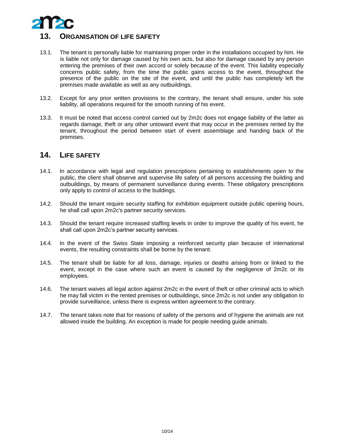

#### <span id="page-9-0"></span>**13. ORGANISATION OF LIFE SAFETY**

- 13.1. The tenant is personally liable for maintaining proper order in the installations occupied by him. He is liable not only for damage caused by his own acts, but also for damage caused by any person entering the premises of their own accord or solely because of the event. This liability especially concerns public safety, from the time the public gains access to the event, throughout the presence of the public on the site of the event, and until the public has completely left the premises made available as well as any outbuildings.
- 13.2. Except for any prior written provisions to the contrary, the tenant shall ensure, under his sole liability, all operations required for the smooth running of his event.
- 13.3. It must be noted that access control carried out by 2m2c does not engage liability of the latter as regards damage, theft or any other untoward event that may occur in the premises rented by the tenant, throughout the period between start of event assemblage and handing back of the premises.

#### <span id="page-9-1"></span>**14. LIFE SAFETY**

- 14.1. In accordance with legal and regulation prescriptions pertaining to establishments open to the public, the client shall observe and supervise life safety of all persons accessing the building and outbuildings, by means of permanent surveillance during events. These obligatory prescriptions only apply to control of access to the buildings.
- 14.2. Should the tenant require security staffing for exhibition equipment outside public opening hours, he shall call upon 2m2c's partner security services.
- 14.3. Should the tenant require increased staffing levels in order to improve the quality of his event, he shall call upon 2m2c's partner security services.
- 14.4. In the event of the Swiss State imposing a reinforced security plan because of international events, the resulting constraints shall be borne by the tenant.
- 14.5. The tenant shall be liable for all loss, damage, injuries or deaths arising from or linked to the event, except in the case where such an event is caused by the negligence of 2m2c or its employees.
- 14.6. The tenant waives all legal action against 2m2c in the event of theft or other criminal acts to which he may fall victim in the rented premises or outbuildings, since 2m2c is not under any obligation to provide surveillance, unless there is express written agreement to the contrary.
- 14.7. The tenant takes note that for reasons of safety of the persons and of hygiene the animals are not allowed inside the building. An exception is made for people needing guide animals.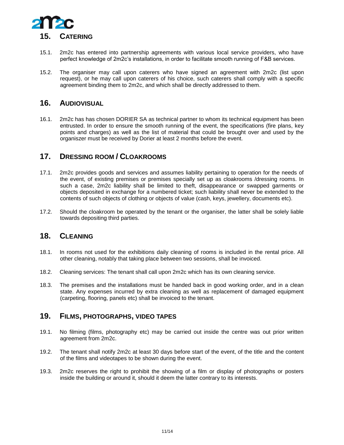

- <span id="page-10-0"></span>15.1. 2m2c has entered into partnership agreements with various local service providers, who have perfect knowledge of 2m2c's installations, in order to facilitate smooth running of F&B services.
- 15.2. The organiser may call upon caterers who have signed an agreement with 2m2c (list upon request), or he may call upon caterers of his choice, such caterers shall comply with a specific agreement binding them to 2m2c, and which shall be directly addressed to them.

#### **16. AUDIOVISUAL**

16.1. 2m2c has has chosen DORIER SA as technical partner to whom its technical equipment has been entrusted. In order to ensure the smooth running of the event, the specifications (fire plans, key points and charges) as well as the list of material that could be brought over and used by the organiszer must be received by Dorier at least 2 months before the event.

#### <span id="page-10-1"></span>**17. DRESSING ROOM / CLOAKROOMS**

- 17.1. 2m2c provides goods and services and assumes liability pertaining to operation for the needs of the event, of existing premises or premises specially set up as cloakrooms /dressing rooms. In such a case, 2m2c liability shall be limited to theft, disappearance or swapped garments or objects deposited in exchange for a numbered ticket; such liability shall never be extended to the contents of such objects of clothing or objects of value (cash, keys, jewellery, documents etc).
- 17.2. Should the cloakroom be operated by the tenant or the organiser, the latter shall be solely liable towards depositing third parties.

#### <span id="page-10-2"></span>**18. CLEANING**

- 18.1. In rooms not used for the exhibitions daily cleaning of rooms is included in the rental price. All other cleaning, notably that taking place between two sessions, shall be invoiced.
- 18.2. Cleaning services: The tenant shall call upon 2m2c which has its own cleaning service.
- 18.3. The premises and the installations must be handed back in good working order, and in a clean state. Any expenses incurred by extra cleaning as well as replacement of damaged equipment (carpeting, flooring, panels etc) shall be invoiced to the tenant.

#### <span id="page-10-3"></span>**19. FILMS, PHOTOGRAPHS, VIDEO TAPES**

- 19.1. No filming (films, photography etc) may be carried out inside the centre was out prior written agreement from 2m2c.
- 19.2. The tenant shall notify 2m2c at least 30 days before start of the event, of the title and the content of the films and videotapes to be shown during the event.
- 19.3. 2m2c reserves the right to prohibit the showing of a film or display of photographs or posters inside the building or around it, should it deem the latter contrary to its interests.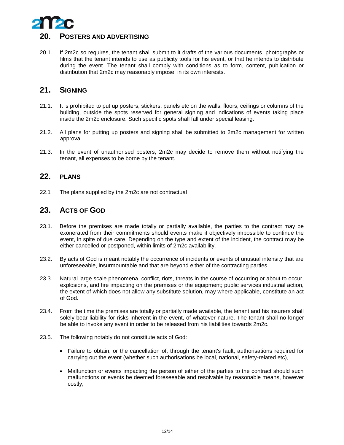

<span id="page-11-0"></span>20.1. If 2m2c so requires, the tenant shall submit to it drafts of the various documents, photographs or films that the tenant intends to use as publicity tools for his event, or that he intends to distribute during the event. The tenant shall comply with conditions as to form, content, publication or distribution that 2m2c may reasonably impose, in its own interests.

# <span id="page-11-1"></span>**21. SIGNING**

- 21.1. It is prohibited to put up posters, stickers, panels etc on the walls, floors, ceilings or columns of the building, outside the spots reserved for general signing and indications of events taking place inside the 2m2c enclosure. Such specific spots shall fall under special leasing.
- 21.2. All plans for putting up posters and signing shall be submitted to 2m2c management for written approval.
- 21.3. In the event of unauthorised posters, 2m2c may decide to remove them without notifying the tenant, all expenses to be borne by the tenant.

#### <span id="page-11-2"></span>**22. PLANS**

<span id="page-11-3"></span>22.1 The plans supplied by the 2m2c are not contractual

# **23. ACTS OF GOD**

- 23.1. Before the premises are made totally or partially available, the parties to the contract may be exonerated from their commitments should events make it objectively impossible to continue the event, in spite of due care. Depending on the type and extent of the incident, the contract may be either cancelled or postponed, within limits of 2m2c availability.
- 23.2. By acts of God is meant notably the occurrence of incidents or events of unusual intensity that are unforeseeable, insurmountable and that are beyond either of the contracting parties.
- 23.3. Natural large scale phenomena, conflict, riots, threats in the course of occurring or about to occur, explosions, and fire impacting on the premises or the equipment; public services industrial action, the extent of which does not allow any substitute solution, may where applicable, constitute an act of God.
- 23.4. From the time the premises are totally or partially made available, the tenant and his insurers shall solely bear liability for risks inherent in the event, of whatever nature. The tenant shall no longer be able to invoke any event in order to be released from his liabilities towards 2m2c.
- 23.5. The following notably do not constitute acts of God:
	- Failure to obtain, or the cancellation of, through the tenant's fault, authorisations required for carrying out the event (whether such authorisations be local, national, safety-related etc),
	- Malfunction or events impacting the person of either of the parties to the contract should such malfunctions or events be deemed foreseeable and resolvable by reasonable means, however costly,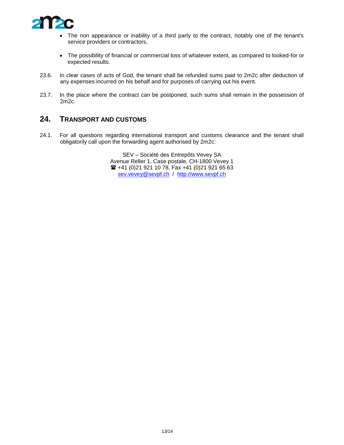

- The non appearance or inability of a third party to the contract, notably one of the tenant's service providers or contractors,
- The possibility of financial or commercial loss of whatever extent, as compared to looked-for or expected results.
- 23.6. In clear cases of acts of God, the tenant shall be refunded sums paid to 2m2c after deduction of any expenses incurred on his behalf and for purposes of carrying out his event.
- 23.7. In the place where the contract can be postponed, such sums shall remain in the possession of 2m2c.

#### <span id="page-12-0"></span>**24. TRANSPORT AND CUSTOMS**

24.1. For all questions regarding international transport and customs clearance and the tenant shall obligatorily call upon the forwarding agent authorised by 2m2c:

> SEV – Société des Entrepôts Vevey SA Avenue Reller 1, Case postale, CH-1800 Vevey 1 +41 (0)21 921 10 78, Fax +41 (0)21 921 65 63 [sev.vevey@sevpf.ch](mailto:sev.vevey@sevpf.ch) / [http://www.sevpf.ch](http://www.sevpf.ch/)